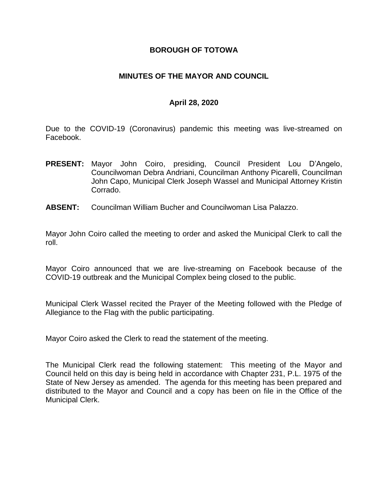### **BOROUGH OF TOTOWA**

### **MINUTES OF THE MAYOR AND COUNCIL**

### **April 28, 2020**

Due to the COVID-19 (Coronavirus) pandemic this meeting was live-streamed on Facebook.

- **PRESENT:** Mayor John Coiro, presiding, Council President Lou D'Angelo, Councilwoman Debra Andriani, Councilman Anthony Picarelli, Councilman John Capo, Municipal Clerk Joseph Wassel and Municipal Attorney Kristin Corrado.
- **ABSENT:** Councilman William Bucher and Councilwoman Lisa Palazzo.

Mayor John Coiro called the meeting to order and asked the Municipal Clerk to call the roll.

Mayor Coiro announced that we are live-streaming on Facebook because of the COVID-19 outbreak and the Municipal Complex being closed to the public.

Municipal Clerk Wassel recited the Prayer of the Meeting followed with the Pledge of Allegiance to the Flag with the public participating.

Mayor Coiro asked the Clerk to read the statement of the meeting.

The Municipal Clerk read the following statement: This meeting of the Mayor and Council held on this day is being held in accordance with Chapter 231, P.L. 1975 of the State of New Jersey as amended. The agenda for this meeting has been prepared and distributed to the Mayor and Council and a copy has been on file in the Office of the Municipal Clerk.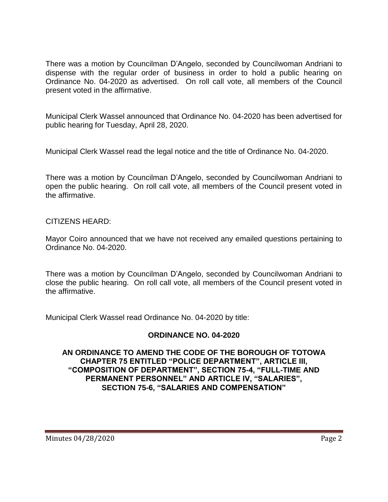There was a motion by Councilman D'Angelo, seconded by Councilwoman Andriani to dispense with the regular order of business in order to hold a public hearing on Ordinance No. 04-2020 as advertised. On roll call vote, all members of the Council present voted in the affirmative.

Municipal Clerk Wassel announced that Ordinance No. 04-2020 has been advertised for public hearing for Tuesday, April 28, 2020.

Municipal Clerk Wassel read the legal notice and the title of Ordinance No. 04-2020.

There was a motion by Councilman D'Angelo, seconded by Councilwoman Andriani to open the public hearing. On roll call vote, all members of the Council present voted in the affirmative.

## CITIZENS HEARD:

Mayor Coiro announced that we have not received any emailed questions pertaining to Ordinance No. 04-2020.

There was a motion by Councilman D'Angelo, seconded by Councilwoman Andriani to close the public hearing. On roll call vote, all members of the Council present voted in the affirmative.

Municipal Clerk Wassel read Ordinance No. 04-2020 by title:

## **ORDINANCE NO. 04-2020**

### **AN ORDINANCE TO AMEND THE CODE OF THE BOROUGH OF TOTOWA CHAPTER 75 ENTITLED "POLICE DEPARTMENT", ARTICLE III, "COMPOSITION OF DEPARTMENT", SECTION 75-4, "FULL-TIME AND PERMANENT PERSONNEL" AND ARTICLE IV, "SALARIES", SECTION 75-6, "SALARIES AND COMPENSATION"**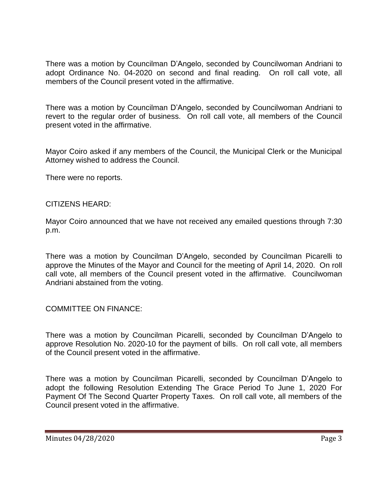There was a motion by Councilman D'Angelo, seconded by Councilwoman Andriani to adopt Ordinance No. 04-2020 on second and final reading. On roll call vote, all members of the Council present voted in the affirmative.

There was a motion by Councilman D'Angelo, seconded by Councilwoman Andriani to revert to the regular order of business. On roll call vote, all members of the Council present voted in the affirmative.

Mayor Coiro asked if any members of the Council, the Municipal Clerk or the Municipal Attorney wished to address the Council.

There were no reports.

#### CITIZENS HEARD:

Mayor Coiro announced that we have not received any emailed questions through 7:30 p.m.

There was a motion by Councilman D'Angelo, seconded by Councilman Picarelli to approve the Minutes of the Mayor and Council for the meeting of April 14, 2020. On roll call vote, all members of the Council present voted in the affirmative. Councilwoman Andriani abstained from the voting.

### COMMITTEE ON FINANCE:

There was a motion by Councilman Picarelli, seconded by Councilman D'Angelo to approve Resolution No. 2020-10 for the payment of bills. On roll call vote, all members of the Council present voted in the affirmative.

There was a motion by Councilman Picarelli, seconded by Councilman D'Angelo to adopt the following Resolution Extending The Grace Period To June 1, 2020 For Payment Of The Second Quarter Property Taxes. On roll call vote, all members of the Council present voted in the affirmative.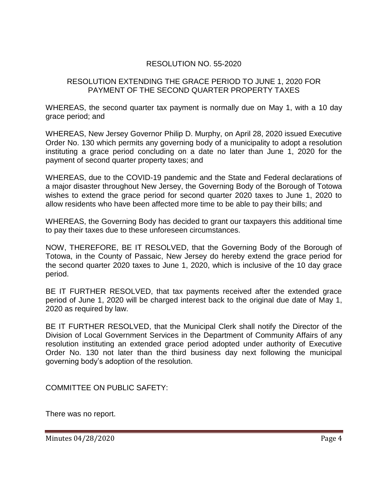## RESOLUTION NO. 55-2020

#### RESOLUTION EXTENDING THE GRACE PERIOD TO JUNE 1, 2020 FOR PAYMENT OF THE SECOND QUARTER PROPERTY TAXES

WHEREAS, the second quarter tax payment is normally due on May 1, with a 10 day grace period; and

WHEREAS, New Jersey Governor Philip D. Murphy, on April 28, 2020 issued Executive Order No. 130 which permits any governing body of a municipality to adopt a resolution instituting a grace period concluding on a date no later than June 1, 2020 for the payment of second quarter property taxes; and

WHEREAS, due to the COVID-19 pandemic and the State and Federal declarations of a major disaster throughout New Jersey, the Governing Body of the Borough of Totowa wishes to extend the grace period for second quarter 2020 taxes to June 1, 2020 to allow residents who have been affected more time to be able to pay their bills; and

WHEREAS, the Governing Body has decided to grant our taxpayers this additional time to pay their taxes due to these unforeseen circumstances.

NOW, THEREFORE, BE IT RESOLVED, that the Governing Body of the Borough of Totowa, in the County of Passaic, New Jersey do hereby extend the grace period for the second quarter 2020 taxes to June 1, 2020, which is inclusive of the 10 day grace period.

BE IT FURTHER RESOLVED, that tax payments received after the extended grace period of June 1, 2020 will be charged interest back to the original due date of May 1, 2020 as required by law.

BE IT FURTHER RESOLVED, that the Municipal Clerk shall notify the Director of the Division of Local Government Services in the Department of Community Affairs of any resolution instituting an extended grace period adopted under authority of Executive Order No. 130 not later than the third business day next following the municipal governing body's adoption of the resolution.

COMMITTEE ON PUBLIC SAFETY:

There was no report.

Minutes 04/28/2020 Page 4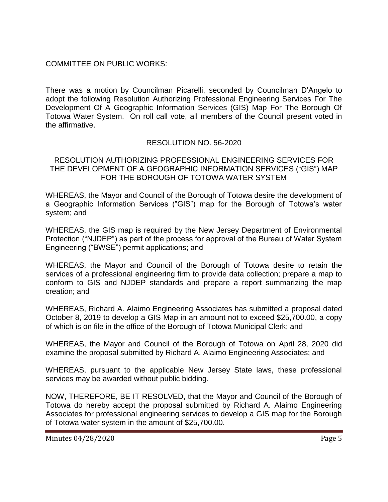## COMMITTEE ON PUBLIC WORKS:

There was a motion by Councilman Picarelli, seconded by Councilman D'Angelo to adopt the following Resolution Authorizing Professional Engineering Services For The Development Of A Geographic Information Services (GIS) Map For The Borough Of Totowa Water System. On roll call vote, all members of the Council present voted in the affirmative.

## RESOLUTION NO. 56-2020

#### RESOLUTION AUTHORIZING PROFESSIONAL ENGINEERING SERVICES FOR THE DEVELOPMENT OF A GEOGRAPHIC INFORMATION SERVICES ("GIS") MAP FOR THE BOROUGH OF TOTOWA WATER SYSTEM

WHEREAS, the Mayor and Council of the Borough of Totowa desire the development of a Geographic Information Services ("GIS") map for the Borough of Totowa's water system; and

WHEREAS, the GIS map is required by the New Jersey Department of Environmental Protection ("NJDEP") as part of the process for approval of the Bureau of Water System Engineering ("BWSE") permit applications; and

WHEREAS, the Mayor and Council of the Borough of Totowa desire to retain the services of a professional engineering firm to provide data collection; prepare a map to conform to GIS and NJDEP standards and prepare a report summarizing the map creation; and

WHEREAS, Richard A. Alaimo Engineering Associates has submitted a proposal dated October 8, 2019 to develop a GIS Map in an amount not to exceed \$25,700.00, a copy of which is on file in the office of the Borough of Totowa Municipal Clerk; and

WHEREAS, the Mayor and Council of the Borough of Totowa on April 28, 2020 did examine the proposal submitted by Richard A. Alaimo Engineering Associates; and

WHEREAS, pursuant to the applicable New Jersey State laws, these professional services may be awarded without public bidding.

NOW, THEREFORE, BE IT RESOLVED, that the Mayor and Council of the Borough of Totowa do hereby accept the proposal submitted by Richard A. Alaimo Engineering Associates for professional engineering services to develop a GIS map for the Borough of Totowa water system in the amount of \$25,700.00.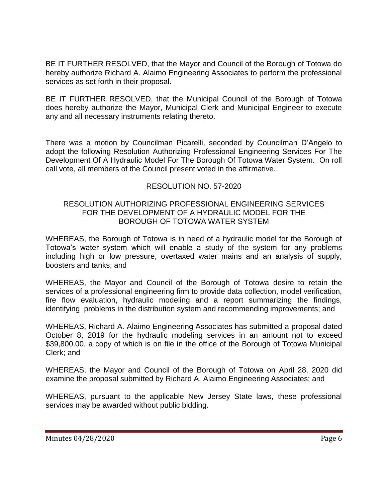BE IT FURTHER RESOLVED, that the Mayor and Council of the Borough of Totowa do hereby authorize Richard A. Alaimo Engineering Associates to perform the professional services as set forth in their proposal.

BE IT FURTHER RESOLVED, that the Municipal Council of the Borough of Totowa does hereby authorize the Mayor, Municipal Clerk and Municipal Engineer to execute any and all necessary instruments relating thereto.

There was a motion by Councilman Picarelli, seconded by Councilman D'Angelo to adopt the following Resolution Authorizing Professional Engineering Services For The Development Of A Hydraulic Model For The Borough Of Totowa Water System. On roll call vote, all members of the Council present voted in the affirmative.

# RESOLUTION NO. 57-2020

### RESOLUTION AUTHORIZING PROFESSIONAL ENGINEERING SERVICES FOR THE DEVELOPMENT OF A HYDRAULIC MODEL FOR THE BOROUGH OF TOTOWA WATER SYSTEM

WHEREAS, the Borough of Totowa is in need of a hydraulic model for the Borough of Totowa's water system which will enable a study of the system for any problems including high or low pressure, overtaxed water mains and an analysis of supply, boosters and tanks; and

WHEREAS, the Mayor and Council of the Borough of Totowa desire to retain the services of a professional engineering firm to provide data collection, model verification, fire flow evaluation, hydraulic modeling and a report summarizing the findings, identifying problems in the distribution system and recommending improvements; and

WHEREAS, Richard A. Alaimo Engineering Associates has submitted a proposal dated October 8, 2019 for the hydraulic modeling services in an amount not to exceed \$39,800.00, a copy of which is on file in the office of the Borough of Totowa Municipal Clerk; and

WHEREAS, the Mayor and Council of the Borough of Totowa on April 28, 2020 did examine the proposal submitted by Richard A. Alaimo Engineering Associates; and

WHEREAS, pursuant to the applicable New Jersey State laws, these professional services may be awarded without public bidding.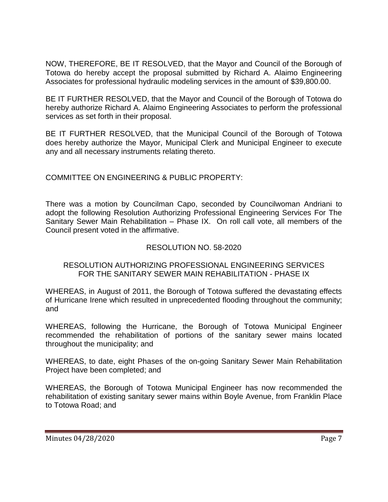NOW, THEREFORE, BE IT RESOLVED, that the Mayor and Council of the Borough of Totowa do hereby accept the proposal submitted by Richard A. Alaimo Engineering Associates for professional hydraulic modeling services in the amount of \$39,800.00.

BE IT FURTHER RESOLVED, that the Mayor and Council of the Borough of Totowa do hereby authorize Richard A. Alaimo Engineering Associates to perform the professional services as set forth in their proposal.

BE IT FURTHER RESOLVED, that the Municipal Council of the Borough of Totowa does hereby authorize the Mayor, Municipal Clerk and Municipal Engineer to execute any and all necessary instruments relating thereto.

# COMMITTEE ON ENGINEERING & PUBLIC PROPERTY:

There was a motion by Councilman Capo, seconded by Councilwoman Andriani to adopt the following Resolution Authorizing Professional Engineering Services For The Sanitary Sewer Main Rehabilitation – Phase IX. On roll call vote, all members of the Council present voted in the affirmative.

# RESOLUTION NO. 58-2020

## RESOLUTION AUTHORIZING PROFESSIONAL ENGINEERING SERVICES FOR THE SANITARY SEWER MAIN REHABILITATION - PHASE IX

WHEREAS, in August of 2011, the Borough of Totowa suffered the devastating effects of Hurricane Irene which resulted in unprecedented flooding throughout the community; and

WHEREAS, following the Hurricane, the Borough of Totowa Municipal Engineer recommended the rehabilitation of portions of the sanitary sewer mains located throughout the municipality; and

WHEREAS, to date, eight Phases of the on-going Sanitary Sewer Main Rehabilitation Project have been completed; and

WHEREAS, the Borough of Totowa Municipal Engineer has now recommended the rehabilitation of existing sanitary sewer mains within Boyle Avenue, from Franklin Place to Totowa Road; and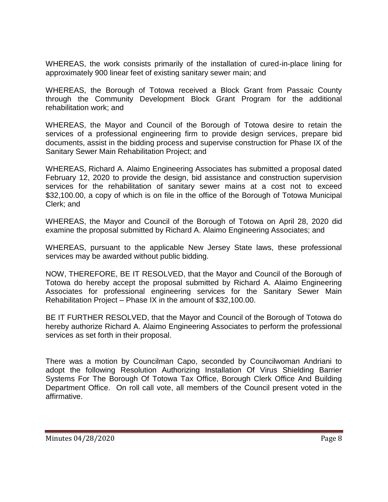WHEREAS, the work consists primarily of the installation of cured-in-place lining for approximately 900 linear feet of existing sanitary sewer main; and

WHEREAS, the Borough of Totowa received a Block Grant from Passaic County through the Community Development Block Grant Program for the additional rehabilitation work; and

WHEREAS, the Mayor and Council of the Borough of Totowa desire to retain the services of a professional engineering firm to provide design services, prepare bid documents, assist in the bidding process and supervise construction for Phase IX of the Sanitary Sewer Main Rehabilitation Project; and

WHEREAS, Richard A. Alaimo Engineering Associates has submitted a proposal dated February 12, 2020 to provide the design, bid assistance and construction supervision services for the rehabilitation of sanitary sewer mains at a cost not to exceed \$32,100.00, a copy of which is on file in the office of the Borough of Totowa Municipal Clerk; and

WHEREAS, the Mayor and Council of the Borough of Totowa on April 28, 2020 did examine the proposal submitted by Richard A. Alaimo Engineering Associates; and

WHEREAS, pursuant to the applicable New Jersey State laws, these professional services may be awarded without public bidding.

NOW, THEREFORE, BE IT RESOLVED, that the Mayor and Council of the Borough of Totowa do hereby accept the proposal submitted by Richard A. Alaimo Engineering Associates for professional engineering services for the Sanitary Sewer Main Rehabilitation Project – Phase IX in the amount of \$32,100.00.

BE IT FURTHER RESOLVED, that the Mayor and Council of the Borough of Totowa do hereby authorize Richard A. Alaimo Engineering Associates to perform the professional services as set forth in their proposal.

There was a motion by Councilman Capo, seconded by Councilwoman Andriani to adopt the following Resolution Authorizing Installation Of Virus Shielding Barrier Systems For The Borough Of Totowa Tax Office, Borough Clerk Office And Building Department Office. On roll call vote, all members of the Council present voted in the affirmative.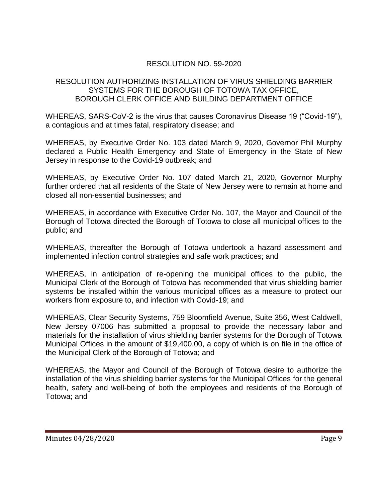# RESOLUTION NO. 59-2020

## RESOLUTION AUTHORIZING INSTALLATION OF VIRUS SHIELDING BARRIER SYSTEMS FOR THE BOROUGH OF TOTOWA TAX OFFICE, BOROUGH CLERK OFFICE AND BUILDING DEPARTMENT OFFICE

WHEREAS, SARS-CoV-2 is the virus that causes Coronavirus Disease 19 ("Covid-19"), a contagious and at times fatal, respiratory disease; and

WHEREAS, by Executive Order No. 103 dated March 9, 2020, Governor Phil Murphy declared a Public Health Emergency and State of Emergency in the State of New Jersey in response to the Covid-19 outbreak; and

WHEREAS, by Executive Order No. 107 dated March 21, 2020, Governor Murphy further ordered that all residents of the State of New Jersey were to remain at home and closed all non-essential businesses; and

WHEREAS, in accordance with Executive Order No. 107, the Mayor and Council of the Borough of Totowa directed the Borough of Totowa to close all municipal offices to the public; and

WHEREAS, thereafter the Borough of Totowa undertook a hazard assessment and implemented infection control strategies and safe work practices; and

WHEREAS, in anticipation of re-opening the municipal offices to the public, the Municipal Clerk of the Borough of Totowa has recommended that virus shielding barrier systems be installed within the various municipal offices as a measure to protect our workers from exposure to, and infection with Covid-19; and

WHEREAS, Clear Security Systems, 759 Bloomfield Avenue, Suite 356, West Caldwell, New Jersey 07006 has submitted a proposal to provide the necessary labor and materials for the installation of virus shielding barrier systems for the Borough of Totowa Municipal Offices in the amount of \$19,400.00, a copy of which is on file in the office of the Municipal Clerk of the Borough of Totowa; and

WHEREAS, the Mayor and Council of the Borough of Totowa desire to authorize the installation of the virus shielding barrier systems for the Municipal Offices for the general health, safety and well-being of both the employees and residents of the Borough of Totowa; and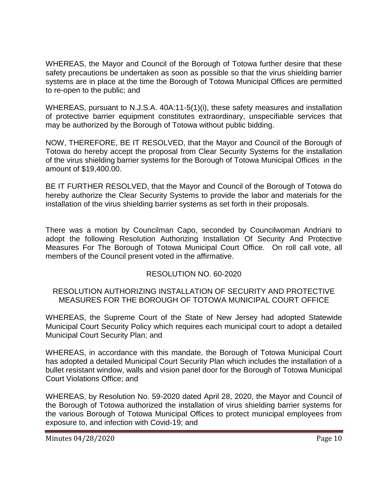WHEREAS, the Mayor and Council of the Borough of Totowa further desire that these safety precautions be undertaken as soon as possible so that the virus shielding barrier systems are in place at the time the Borough of Totowa Municipal Offices are permitted to re-open to the public; and

WHEREAS, pursuant to N.J.S.A. 40A:11-5(1)(i), these safety measures and installation of protective barrier equipment constitutes extraordinary, unspecifiable services that may be authorized by the Borough of Totowa without public bidding.

NOW, THEREFORE, BE IT RESOLVED, that the Mayor and Council of the Borough of Totowa do hereby accept the proposal from Clear Security Systems for the installation of the virus shielding barrier systems for the Borough of Totowa Municipal Offices in the amount of \$19,400.00.

BE IT FURTHER RESOLVED, that the Mayor and Council of the Borough of Totowa do hereby authorize the Clear Security Systems to provide the labor and materials for the installation of the virus shielding barrier systems as set forth in their proposals.

There was a motion by Councilman Capo, seconded by Councilwoman Andriani to adopt the following Resolution Authorizing Installation Of Security And Protective Measures For The Borough of Totowa Municipal Court Office. On roll call vote, all members of the Council present voted in the affirmative.

## RESOLUTION NO. 60-2020

### RESOLUTION AUTHORIZING INSTALLATION OF SECURITY AND PROTECTIVE MEASURES FOR THE BOROUGH OF TOTOWA MUNICIPAL COURT OFFICE

WHEREAS, the Supreme Court of the State of New Jersey had adopted Statewide Municipal Court Security Policy which requires each municipal court to adopt a detailed Municipal Court Security Plan; and

WHEREAS, in accordance with this mandate, the Borough of Totowa Municipal Court has adopted a detailed Municipal Court Security Plan which includes the installation of a bullet resistant window, walls and vision panel door for the Borough of Totowa Municipal Court Violations Office; and

WHEREAS, by Resolution No. 59-2020 dated April 28, 2020, the Mayor and Council of the Borough of Totowa authorized the installation of virus shielding barrier systems for the various Borough of Totowa Municipal Offices to protect municipal employees from exposure to, and infection with Covid-19; and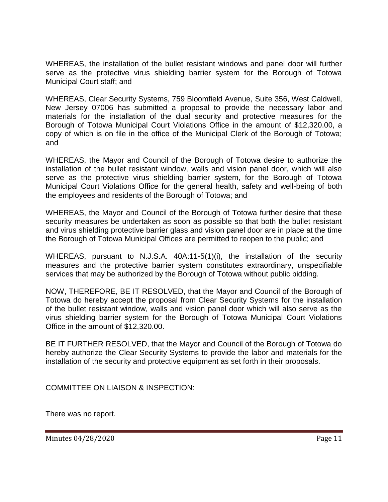WHEREAS, the installation of the bullet resistant windows and panel door will further serve as the protective virus shielding barrier system for the Borough of Totowa Municipal Court staff; and

WHEREAS, Clear Security Systems, 759 Bloomfield Avenue, Suite 356, West Caldwell, New Jersey 07006 has submitted a proposal to provide the necessary labor and materials for the installation of the dual security and protective measures for the Borough of Totowa Municipal Court Violations Office in the amount of \$12,320.00, a copy of which is on file in the office of the Municipal Clerk of the Borough of Totowa; and

WHEREAS, the Mayor and Council of the Borough of Totowa desire to authorize the installation of the bullet resistant window, walls and vision panel door, which will also serve as the protective virus shielding barrier system, for the Borough of Totowa Municipal Court Violations Office for the general health, safety and well-being of both the employees and residents of the Borough of Totowa; and

WHEREAS, the Mayor and Council of the Borough of Totowa further desire that these security measures be undertaken as soon as possible so that both the bullet resistant and virus shielding protective barrier glass and vision panel door are in place at the time the Borough of Totowa Municipal Offices are permitted to reopen to the public; and

WHEREAS, pursuant to N.J.S.A. 40A:11-5(1)(i), the installation of the security measures and the protective barrier system constitutes extraordinary, unspecifiable services that may be authorized by the Borough of Totowa without public bidding.

NOW, THEREFORE, BE IT RESOLVED, that the Mayor and Council of the Borough of Totowa do hereby accept the proposal from Clear Security Systems for the installation of the bullet resistant window, walls and vision panel door which will also serve as the virus shielding barrier system for the Borough of Totowa Municipal Court Violations Office in the amount of \$12,320.00.

BE IT FURTHER RESOLVED, that the Mayor and Council of the Borough of Totowa do hereby authorize the Clear Security Systems to provide the labor and materials for the installation of the security and protective equipment as set forth in their proposals.

COMMITTEE ON LIAISON & INSPECTION:

There was no report.